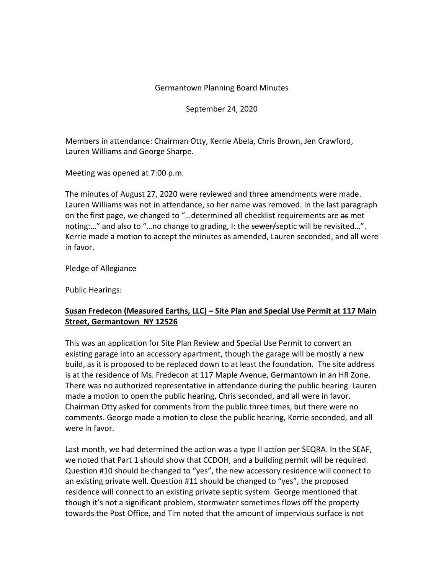#### Germantown Planning Board Minutes

September 24, 2020

Members in attendance: Chairman Otty, Kerrie Abela, Chris Brown, Jen Crawford, Lauren Williams and George Sharpe.

Meeting was opened at 7:00 p.m.

The minutes of August 27, 2020 were reviewed and three amendments were made. Lauren Williams was not in attendance, so her name was removed. In the last paragraph on the first page, we changed to "...determined all checklist requirements are as met noting:..." and also to "...no change to grading, I: the sewer/septic will be revisited...". Kerrie made a motion to accept the minutes as amended, Lauren seconded, and all were in favor.

Pledge of Allegiance

Public Hearings:

# **Susan Fredecon (Measured Earths, LLC) – Site Plan and Special Use Permit at 117 Main Street, Germantown NY 12526**

This was an application for Site Plan Review and Special Use Permit to convert an existing garage into an accessory apartment, though the garage will be mostly a new build, as it is proposed to be replaced down to at least the foundation. The site address is at the residence of Ms. Fredecon at 117 Maple Avenue, Germantown in an HR Zone. There was no authorized representative in attendance during the public hearing. Lauren made a motion to open the public hearing, Chris seconded, and all were in favor. Chairman Otty asked for comments from the public three times, but there were no comments. George made a motion to close the public hearing, Kerrie seconded, and all were in favor.

Last month, we had determined the action was a type II action per SEQRA. In the SEAF, we noted that Part 1 should show that CCDOH, and a building permit will be required. Question #10 should be changed to "yes", the new accessory residence will connect to an existing private well. Question #11 should be changed to "yes", the proposed residence will connect to an existing private septic system. George mentioned that though it's not a significant problem, stormwater sometimes flows off the property towards the Post Office, and Tim noted that the amount of impervious surface is not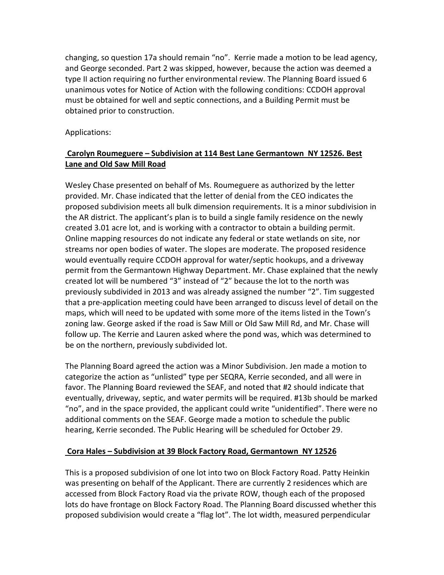changing, so question 17a should remain "no". Kerrie made a motion to be lead agency, and George seconded. Part 2 was skipped, however, because the action was deemed a type II action requiring no further environmental review. The Planning Board issued 6 unanimous votes for Notice of Action with the following conditions: CCDOH approval must be obtained for well and septic connections, and a Building Permit must be obtained prior to construction.

Applications:

# **Carolyn Roumeguere – Subdivision at 114 Best Lane Germantown NY 12526. Best Lane and Old Saw Mill Road**

Wesley Chase presented on behalf of Ms. Roumeguere as authorized by the letter provided. Mr. Chase indicated that the letter of denial from the CEO indicates the proposed subdivision meets all bulk dimension requirements. It is a minor subdivision in the AR district. The applicant's plan is to build a single family residence on the newly created 3.01 acre lot, and is working with a contractor to obtain a building permit. Online mapping resources do not indicate any federal or state wetlands on site, nor streams nor open bodies of water. The slopes are moderate. The proposed residence would eventually require CCDOH approval for water/septic hookups, and a driveway permit from the Germantown Highway Department. Mr. Chase explained that the newly created lot will be numbered "3" instead of "2" because the lot to the north was previously subdivided in 2013 and was already assigned the number "2". Tim suggested that a pre-application meeting could have been arranged to discuss level of detail on the maps, which will need to be updated with some more of the items listed in the Town's zoning law. George asked if the road is Saw Mill or Old Saw Mill Rd, and Mr. Chase will follow up. The Kerrie and Lauren asked where the pond was, which was determined to be on the northern, previously subdivided lot.

The Planning Board agreed the action was a Minor Subdivision. Jen made a motion to categorize the action as "unlisted" type per SEQRA, Kerrie seconded, and all were in favor. The Planning Board reviewed the SEAF, and noted that #2 should indicate that eventually, driveway, septic, and water permits will be required. #13b should be marked "no", and in the space provided, the applicant could write "unidentified". There were no additional comments on the SEAF. George made a motion to schedule the public hearing, Kerrie seconded. The Public Hearing will be scheduled for October 29.

## **Cora Hales – Subdivision at 39 Block Factory Road, Germantown NY 12526**

This is a proposed subdivision of one lot into two on Block Factory Road. Patty Heinkin was presenting on behalf of the Applicant. There are currently 2 residences which are accessed from Block Factory Road via the private ROW, though each of the proposed lots do have frontage on Block Factory Road. The Planning Board discussed whether this proposed subdivision would create a "flag lot". The lot width, measured perpendicular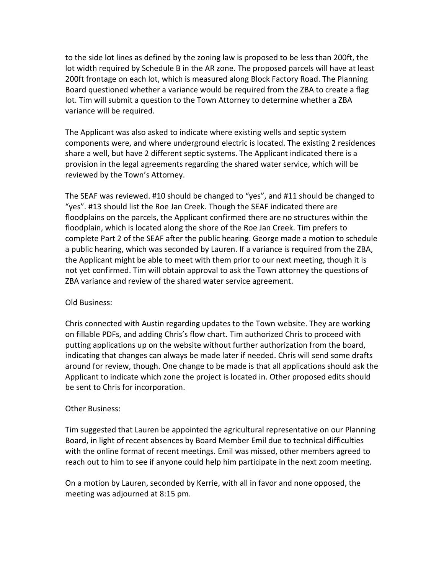to the side lot lines as defined by the zoning law is proposed to be less than 200ft, the lot width required by Schedule B in the AR zone. The proposed parcels will have at least 200ft frontage on each lot, which is measured along Block Factory Road. The Planning Board questioned whether a variance would be required from the ZBA to create a flag lot. Tim will submit a question to the Town Attorney to determine whether a ZBA variance will be required.

The Applicant was also asked to indicate where existing wells and septic system components were, and where underground electric is located. The existing 2 residences share a well, but have 2 different septic systems. The Applicant indicated there is a provision in the legal agreements regarding the shared water service, which will be reviewed by the Town's Attorney.

The SEAF was reviewed. #10 should be changed to "yes", and #11 should be changed to "yes". #13 should list the Roe Jan Creek. Though the SEAF indicated there are floodplains on the parcels, the Applicant confirmed there are no structures within the floodplain, which is located along the shore of the Roe Jan Creek. Tim prefers to complete Part 2 of the SEAF after the public hearing. George made a motion to schedule a public hearing, which was seconded by Lauren. If a variance is required from the ZBA, the Applicant might be able to meet with them prior to our next meeting, though it is not yet confirmed. Tim will obtain approval to ask the Town attorney the questions of ZBA variance and review of the shared water service agreement.

### Old Business:

Chris connected with Austin regarding updates to the Town website. They are working on fillable PDFs, and adding Chris's flow chart. Tim authorized Chris to proceed with putting applications up on the website without further authorization from the board, indicating that changes can always be made later if needed. Chris will send some drafts around for review, though. One change to be made is that all applications should ask the Applicant to indicate which zone the project is located in. Other proposed edits should be sent to Chris for incorporation.

### Other Business:

Tim suggested that Lauren be appointed the agricultural representative on our Planning Board, in light of recent absences by Board Member Emil due to technical difficulties with the online format of recent meetings. Emil was missed, other members agreed to reach out to him to see if anyone could help him participate in the next zoom meeting.

On a motion by Lauren, seconded by Kerrie, with all in favor and none opposed, the meeting was adjourned at 8:15 pm.